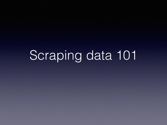# Scraping data 101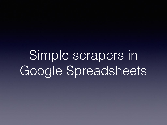Simple scrapers in Google Spreadsheets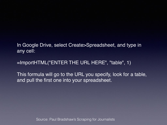In Google Drive, select Create>Spreadsheet, and type in any cell:

=ImportHTML("ENTER THE URL HERE", "table", 1)

This formula will go to the URL you specify, look for a table, and pull the first one into your spreadsheet.

Source: Paul Bradshaw's Scraping for Journalists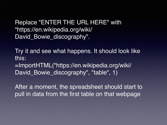Replace "ENTER THE URL HERE" with "https://en.wikipedia.org/wiki/ David\_Bowie\_discography".

Try it and see what happens. It should look like this:

=ImportHTML("https://en.wikipedia.org/wiki/ David\_Bowie\_discography", "table", 1)

After a moment, the spreadsheet should start to pull in data from the first table on that webpage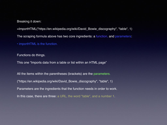Breaking it down:

=ImportHTML("https://en.wikipedia.org/wiki/David\_Bowie\_discography", "table", 1)

The scraping formula above has two core ingredients: a function, and parameters:

• importHTML is the function.

Functions do things.

This one "Imports data from a table or list within an HTML page"

All the items within the parentheses (brackets) are the parameters. ("https://en.wikipedia.org/wiki/David\_Bowie\_discography", "table", 1) Parameters are the ingredients that the function needs in order to work. In this case, there are three: a URL, the word "table", and a number 1.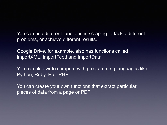You can use different functions in scraping to tackle different problems, or achieve different results.

Google Drive, for example, also has functions called importXML, importFeed and importData

You can also write scrapers with programming languages like Python, Ruby, R or PHP

You can create your own functions that extract particular pieces of data from a page or PDF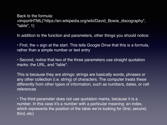Back to the formula: =ImportHTML("https://en.wikipedia.org/wiki/David\_Bowie\_discography", "table", 1)

In addition to the function and parameters, other things you should notice:

 $\cdot$  First, the  $=$  sign at the start. This tells Google Drive that this is a formula, rather than a simple number or text entry

• Second, notice that two of the three parameters use straight quotation marks: the URL, and "table".

This is because they are strings: strings are basically words, phrases or any other collection (i.e. string) of characters. The computer treats these differently from other types of information, such as numbers, dates, or cell references

• The third parameter does not use quotation marks, because it is a number. In this case it's a number with a particular meaning: an index, which represents the position of the table we're looking for (first, second, third, etc)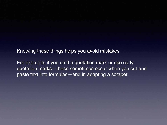Knowing these things helps you avoid mistakes

For example, if you omit a quotation mark or use curly quotation marks—these sometimes occur when you cut and paste text into formulas—and in adapting a scraper.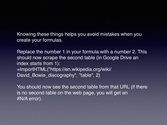Knowing these things helps you avoid mistakes when you create your formulas.

Replace the number 1 in your formula with a number 2. This should now scrape the second table (in Google Drive an index starts from 1): =ImportHTML("https://en.wikipedia.org/wiki/ David\_Bowie\_discography", "table", 2)

You should now see the second table from that URL (if there is no second table on the web page, you will get an #N/A error).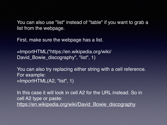You can also use "list" instead of "table" if you want to grab a list from the webpage.

First, make sure the webpage has a list.

=ImportHTML("https://en.wikipedia.org/wiki/ David\_Bowie\_discography", "list", 1)

You can also try replacing either string with a cell reference. For example: =ImportHTML(A2, "list", 1)

In this case it will look in cell A2 for the URL instead. So in cell A2 type or paste: [https://en.wikipedia.org/wiki/David\\_Bowie\\_discography](https://en.wikipedia.org/wiki/David_Bowie_discography)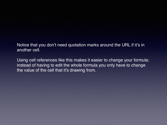Notice that you don't need quotation marks around the URL if it's in another cell.

Using cell references like this makes it easier to change your formula: instead of having to edit the whole formula you only have to change the value of the cell that it's drawing from.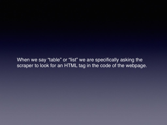When we say "table" or "list" we are specifically asking the scraper to look for an HTML tag in the code of the webpage.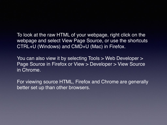To look at the raw HTML of your webpage, right click on the webpage and select View Page Source, or use the shortcuts CTRL+U (Windows) and CMD+U (Mac) in Firefox.

You can also view it by selecting Tools > Web Developer > Page Source in Firefox or View > Developer > View Source in Chrome.

For viewing source HTML, Firefox and Chrome are generally better set up than other browsers.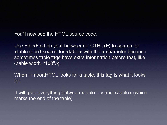You'll now see the HTML source code.

Use Edit>Find on your browser (or CTRL+F) to search for <table (don't search for <table> with the > character because sometimes table tags have extra information before that, like <table width="100">).

When =importHTML looks for a table, this tag is what it looks for.

It will grab everything between <table ...> and </table> (which marks the end of the table)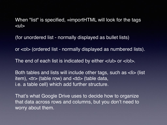When "list" is specified, =importHTML will look for the tags  $<sub>ul</sub>$ </sub>

(for unordered list - normally displayed as bullet lists)

or <ol> (ordered list - normally displayed as numbered lists).

The end of each list is indicated by either  $\langle u \rangle$  or  $\langle v \rangle$ .

Both tables and lists will include other tags, such as <li> (list item), <tr> (table row) and <td> (table data, i.e. a table cell) which add further structure.

That's what Google Drive uses to decide how to organize that data across rows and columns, but you don't need to worry about them.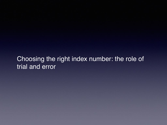#### Choosing the right index number: the role of trial and error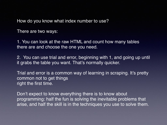How do you know what index number to use?

There are two ways:

1. You can look at the raw HTML and count how many tables there are and choose the one you need.

2. You can use trial and error, beginning with 1, and going up until it grabs the table you want. That's normally quicker.

Trial and error is a common way of learning in scraping. It's pretty common not to get things right the first time.

Don't expect to know everything there is to know about programming: half the fun is solving the inevitable problems that arise, and half the skill is in the techniques you use to solve them.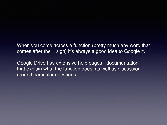When you come across a function (pretty much any word that comes after the = sign) it's always a good idea to Google it.

Google Drive has extensive help pages - documentation that explain what the function does, as well as discussion around particular questions.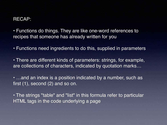#### RECAP:

• Functions do things. They are like one-word references to recipes that someone has already written for you

• Functions need ingredients to do this, supplied in parameters

• There are different kinds of parameters: strings, for example, are collections of characters, indicated by quotation marks…

• …and an index is a position indicated by a number, such as first  $(1)$ , second  $(2)$  and so on.

• The strings "table" and "list" in this formula refer to particular HTML tags in the code underlying a page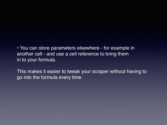• You can store parameters elsewhere - for example in another cell - and use a cell reference to bring them in to your formula.

This makes it easier to tweak your scraper without having to go into the formula every time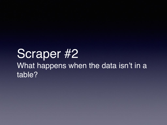## Scraper #2 What happens when the data isn't in a table?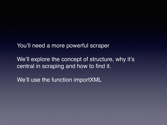You'll need a more powerful scraper

We'll explore the concept of structure, why it's central in scraping and how to find it.

We'll use the function importXML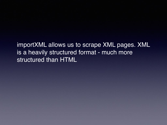importXML allows us to scrape XML pages. XML is a heavily structured format - much more structured than HTML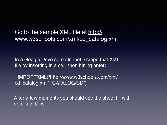Go to the sample XML file at [http://](http://www.w3schools.com/xml/cd_catalog.xml) [www.w3schools.com/xml/cd\\_catalog.xml](http://www.w3schools.com/xml/cd_catalog.xml)

In a Google Drive spreadsheet, scrape that XML file by inserting in a cell, then hitting enter:

=IMPORTXML("http://www.w3schools.com/xml/ cd\_catalog.xml","CATALOG/CD")

After a few moments you should see the sheet fill with details of CDs.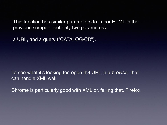This function has similar parameters to importHTML in the previous scraper - but only two parameters:

a URL, and a query ("CATALOG/CD").

To see what it's looking for, open th3 URL in a browser that can handle XML well.

Chrome is particularly good with XML or, failing that, Firefox.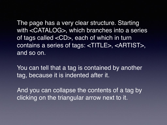The page has a very clear structure. Starting with <CATALOG>, which branches into a series of tags called <CD>, each of which in turn contains a series of tags: <TITLE>, <ARTIST>, and so on.

You can tell that a tag is contained by another tag, because it is indented after it.

And you can collapse the contents of a tag by clicking on the triangular arrow next to it.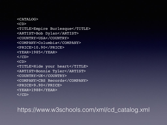<CATALOG>  $$ <TITLE>Empire Burlesque</TITLE> <ARTIST>Bob Dylan</ARTIST> <COUNTRY>USA</COUNTRY> <COMPANY>Columbia</COMPANY> <PRICE>10.90</PRICE> <YEAR>1985</YEAR>  $\langle$ /CD>  $$ <TITLE>Hide your heart</TITLE> <ARTIST>Bonnie Tyler</ARTIST> <COUNTRY>UK</COUNTRY> <COMPANY>CBS Records</COMPANY> <PRICE>9.90</PRICE> <YEAR>1988</YEAR>  $\langle$ /CD>

https://www.w3schools.com/xml/cd\_catalog.xml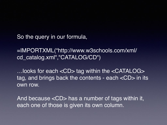So the query in our formula,

=IMPORTXML("http://www.w3schools.com/xml/ cd\_catalog.xml","CATALOG/CD")

…looks for each <CD> tag within the <CATALOG> tag, and brings back the contents - each <CD> in its own row.

And because <CD> has a number of tags within it, each one of those is given its own column.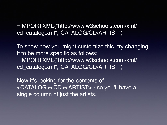=IMPORTXML("http://www.w3schools.com/xml/ cd\_catalog.xml","CATALOG/CD/ARTIST")

To show how you might customize this, try changing it to be more specific as follows: =IMPORTXML("http://www.w3schools.com/xml/ cd\_catalog.xml","CATALOG/CD/ARTIST")

Now it's looking for the contents of <CATALOG><CD><ARTIST> - so you'll have a single column of just the artists.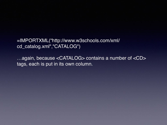=IMPORTXML("http://www.w3schools.com/xml/ cd\_catalog.xml","CATALOG")

…again, because <CATALOG> contains a number of <CD> tags, each is put in its own column.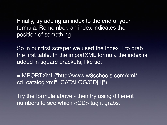Finally, try adding an index to the end of your formula. Remember, an index indicates the position of something.

So in our first scraper we used the index 1 to grab the first table. In the importXML formula the index is added in square brackets, like so:

=IMPORTXML("http://www.w3schools.com/xml/ cd catalog.xml","CATALOG/CD[1]")

Try the formula above - then try using different numbers to see which <CD> tag it grabs.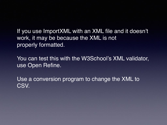If you use ImportXML with an XML file and it doesn't work, it may be because the XML is not properly formatted.

You can test this with the W3School's XML validator, use Open Refine.

Use a conversion program to change the XML to CSV.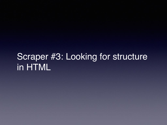## Scraper #3: Looking for structure in HTML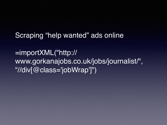Scraping "help wanted" ads online

=importXML("http:// www.gorkanajobs.co.uk/jobs/journalist/", "//div[@class='jobWrap']")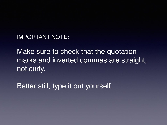IMPORTANT NOTE:

Make sure to check that the quotation marks and inverted commas are straight, not curly.

Better still, type it out yourself.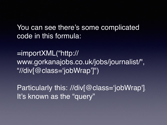You can see there's some complicated code in this formula:

=importXML("http:// www.gorkanajobs.co.uk/jobs/journalist/", "//div[@class='jobWrap']")

Particularly this: //div[@class='jobWrap']. It's known as the "query"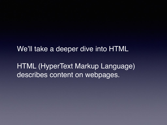We'll take a deeper dive into HTML

HTML (HyperText Markup Language) describes content on webpages.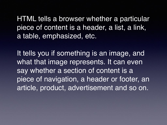HTML tells a browser whether a particular piece of content is a header, a list, a link, a table, emphasized, etc.

It tells you if something is an image, and what that image represents. It can even say whether a section of content is a piece of navigation, a header or footer, an article, product, advertisement and so on.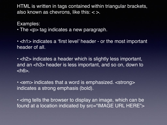HTML is written in tags contained within triangular brackets, also known as chevrons, like this: < >.

Examples:

• The  $p$  tag indicates a new paragraph.

• <h1> indicates a 'first level' header - or the most important header of all.

• <h2> indicates a header which is slightly less important, and an <h3> header is less important, and so on, down to  $<$ h $6$  $>$ .

• <em> indicates that a word is emphasized. <strong> indicates a strong emphasis (bold).

• <img tells the browser to display an image, which can be found at a location indicated by src="IMAGE URL HERE">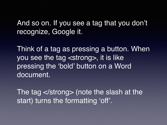And so on. If you see a tag that you don't recognize, Google it.

Think of a tag as pressing a button. When you see the tag <strong>, it is like pressing the 'bold' button on a Word document.

The tag </strong> (note the slash at the start) turns the formatting 'off'.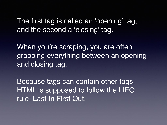The first tag is called an 'opening' tag, and the second a 'closing' tag.

When you're scraping, you are often grabbing everything between an opening and closing tag.

Because tags can contain other tags, HTML is supposed to follow the LIFO rule: Last In First Out.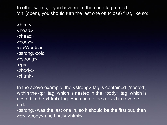In other words, if you have more than one tag turned 'on' (open), you should turn the last one off (close) first, like so:

<html> <head> </head> <body> <p>Words in <strong>bold </strong>  $<$ /p $>$ </body> </html>

In the above example, the <strong> tag is contained ('nested') within the  $\langle p \rangle$  tag, which is nested in the  $\langle p \rangle$  tag, which is nested in the <html> tag. Each has to be closed in reverse order.

<strong> was the last one in, so it should be the first out, then  $\langle$  <p>,  $\langle$  body> and finally  $\langle$  html>.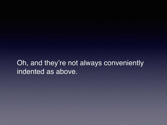### Oh, and they're not always conveniently indented as above.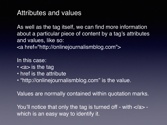#### Attributes and values

As well as the tag itself, we can find more information about a particular piece of content by a tag's attributes and values, like so: <a href="http://onlinejournalismblog.com">

In this case:

- <a> is the tag
- href is the attribute
- "http://onlinejournalismblog.com" is the value.

Values are normally contained within quotation marks.

You'll notice that only the tag is turned off - with </a> which is an easy way to identify it.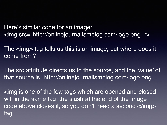Here's similar code for an image: <img src="http://onlinejournalismblog.com/logo.png" />

The <img> tag tells us this is an image, but where does it come from?

The src attribute directs us to the source, and the 'value' of that source is "http://onlinejournalismblog.com/logo.png".

<img is one of the few tags which are opened and closed within the same tag: the slash at the end of the image code above closes it, so you don't need a second </img> tag.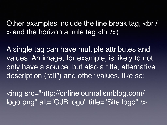Other examples include the line break tag, <br /  $>$  and the horizontal rule tag  $\langle$ hr / $>$ )

A single tag can have multiple attributes and values. An image, for example, is likely to not only have a source, but also a title, alternative description ("alt") and other values, like so:

<img src="http://onlinejournalismblog.com/ logo.png" alt="OJB logo" title="Site logo" />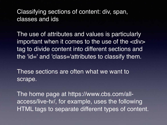#### Classifying sections of content: div, span, classes and ids

The use of attributes and values is particularly important when it comes to the use of the  $\langle$  div $\rangle$ tag to divide content into different sections and the 'id=' and 'class='attributes to classify them.

These sections are often what we want to scrape.

The home page at https://www.cbs.com/allaccess/live-tv/, for example, uses the following HTML tags to separate different types of content.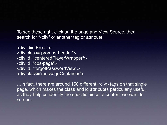To see these right-click on the page and View Source, then search for "<div" or another tag or attribute

<div id="IEroot"> <div class="promos-header"> <div id="centeredPlayerWrapper"> <div id="cbs-page"> <div id="forgotPasswordView"> <div class="messageContainer">

... in fact, there are around 150 different <div>tags on that single page, which makes the class and id attributes particularly useful, as they help us identify the specific piece of content we want to scrape.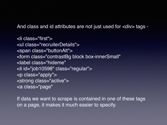And class and id attributes are not just used for <div> tags -

<li class="first"> <ul class="recruiterDetails"> <span class="buttonAlt"> <form class="contrastBg block box-innerSmall" <label class="hideme" <li id="job10598" class="regular"> <p class="apply"> <strong class="active"> <a class="page"

If data we want to scrape is contained in one of these tags on a page, it makes it much easier to specify.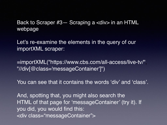Back to Scraper #3— Scraping a <div> in an HTML webpage

Let's re-examine the elements in the query of our importXML scraper:

=importXML("https://www.cbs.com/all-access/live-tv/", "//div[@class='messageContainer']")

You can see that it contains the words 'div' and 'class'.

And, spotting that, you might also search the HTML of that page for 'messageContainer' (try it). If you did, you would find this: <div class="messageContainer">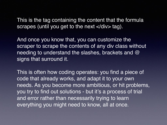This is the tag containing the content that the formula scrapes (until you get to the next  $\langle$ div $>$  tag).

And once you know that, you can customize the scraper to scrape the contents of any div class without needing to understand the slashes, brackets and @ signs that surround it.

This is often how coding operates: you find a piece of code that already works, and adapt it to your own needs. As you become more ambitious, or hit problems, you try to find out solutions - but it's a process of trial and error rather than necessarily trying to learn everything you might need to know, all at once.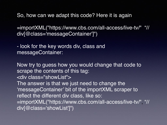So, how can we adapt this code? Here it is again

=importXML("https://www.cbs.com/all-access/live-tv/", "// div[@class='messageContainer']")

- look for the key words div, class and messageContainer:

Now try to guess how you would change that code to scrape the contents of this tag: <div class="showList"> The answer is that we just need to change the 'messageContainer' bit of the importXML scraper to reflect the different div class, like so: =importXML("https://www.cbs.com/all-access/live-tv/", "// div[@class='showList']")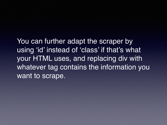You can further adapt the scraper by using 'id' instead of 'class' if that's what your HTML uses, and replacing div with whatever tag contains the information you want to scrape.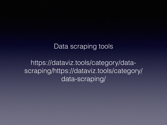#### Data scraping tools

https://dataviz.tools/category/datascraping/https://dataviz.tools/category/ data-scraping/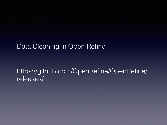#### Data Cleaning in Open Refine

#### https://github.com/OpenRefine/OpenRefine/ releases/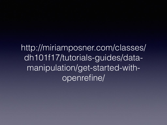http://miriamposner.com/classes/ dh101f17/tutorials-guides/datamanipulation/get-started-withopenrefine/